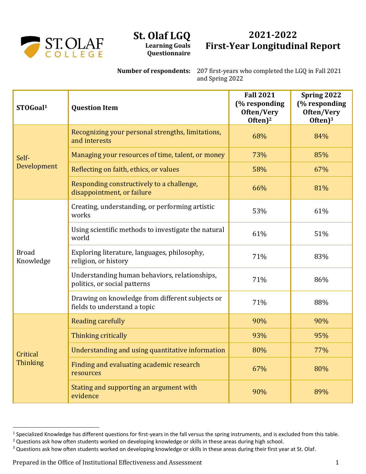

## **St. Olaf LGQ Learning Goals Questionnaire**

## **2021-2022 First-Year Longitudinal Report**

**Number of respondents:** 207 first-years who completed the LGQ in Fall 2021 and Spring 2022

| STOGoal <sup>1</sup>        | <b>Question Item</b>                                                            | <b>Fall 2021</b><br>(% responding<br>Often/Very<br>Often $)^2$ | Spring 2022<br>(% responding<br>Often/Very<br>Often $)^3$ |
|-----------------------------|---------------------------------------------------------------------------------|----------------------------------------------------------------|-----------------------------------------------------------|
| Self-<br>Development        | Recognizing your personal strengths, limitations,<br>and interests              | 68%                                                            | 84%                                                       |
|                             | Managing your resources of time, talent, or money                               | 73%                                                            | 85%                                                       |
|                             | Reflecting on faith, ethics, or values                                          | 58%                                                            | 67%                                                       |
|                             | Responding constructively to a challenge,<br>disappointment, or failure         | 66%                                                            | 81%                                                       |
| <b>Broad</b><br>Knowledge   | Creating, understanding, or performing artistic<br>works                        | 53%                                                            | 61%                                                       |
|                             | Using scientific methods to investigate the natural<br>world                    | 61%                                                            | 51%                                                       |
|                             | Exploring literature, languages, philosophy,<br>religion, or history            | 71%                                                            | 83%                                                       |
|                             | Understanding human behaviors, relationships,<br>politics, or social patterns   | 71%                                                            | 86%                                                       |
|                             | Drawing on knowledge from different subjects or<br>fields to understand a topic | 71%                                                            | 88%                                                       |
| Critical<br><b>Thinking</b> | <b>Reading carefully</b>                                                        | 90%                                                            | 90%                                                       |
|                             | Thinking critically                                                             | 93%                                                            | 95%                                                       |
|                             | Understanding and using quantitative information                                | 80%                                                            | 77%                                                       |
|                             | Finding and evaluating academic research<br>resources                           | 67%                                                            | 80%                                                       |
|                             | Stating and supporting an argument with<br>evidence                             | 90%                                                            | 89%                                                       |

<sup>&</sup>lt;sup>1</sup> Specialized Knowledge has different questions for first-years in the fall versus the spring instruments, and is excluded from this table.

<sup>&</sup>lt;sup>2</sup> Questions ask how often students worked on developing knowledge or skills in these areas during high school.

<sup>&</sup>lt;sup>3</sup> Questions ask how often students worked on developing knowledge or skills in these areas during their first year at St. Olaf.

Prepared in the Office of Institutional Effectiveness and Assessment 1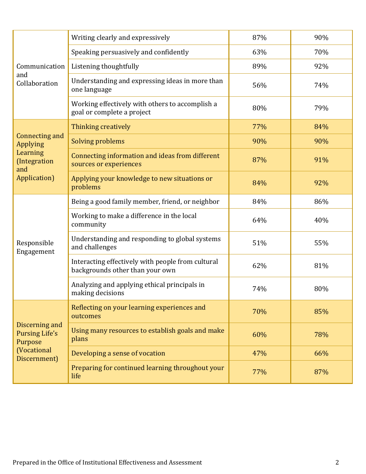| Communication<br>and<br>Collaboration                                                    | Writing clearly and expressively                                                     | 87% | 90% |
|------------------------------------------------------------------------------------------|--------------------------------------------------------------------------------------|-----|-----|
|                                                                                          | Speaking persuasively and confidently                                                | 63% | 70% |
|                                                                                          | Listening thoughtfully                                                               | 89% | 92% |
|                                                                                          | Understanding and expressing ideas in more than<br>one language                      | 56% | 74% |
|                                                                                          | Working effectively with others to accomplish a<br>goal or complete a project        | 80% | 79% |
| Connecting and<br>Applying<br>Learning<br>(Integration<br>and<br>Application)            | Thinking creatively                                                                  | 77% | 84% |
|                                                                                          | <b>Solving problems</b>                                                              | 90% | 90% |
|                                                                                          | Connecting information and ideas from different<br>sources or experiences            | 87% | 91% |
|                                                                                          | Applying your knowledge to new situations or<br>problems                             | 84% | 92% |
| Responsible<br>Engagement                                                                | Being a good family member, friend, or neighbor                                      | 84% | 86% |
|                                                                                          | Working to make a difference in the local<br>community                               | 64% | 40% |
|                                                                                          | Understanding and responding to global systems<br>and challenges                     | 51% | 55% |
|                                                                                          | Interacting effectively with people from cultural<br>backgrounds other than your own | 62% | 81% |
|                                                                                          | Analyzing and applying ethical principals in<br>making decisions                     | 74% | 80% |
| Discerning and<br><b>Pursing Life's</b><br>Purpose<br><b>(Vocational</b><br>Discernment) | Reflecting on your learning experiences and<br>outcomes                              | 70% | 85% |
|                                                                                          | Using many resources to establish goals and make<br>plans                            | 60% | 78% |
|                                                                                          | Developing a sense of vocation                                                       | 47% | 66% |
|                                                                                          | Preparing for continued learning throughout your<br>life                             | 77% | 87% |